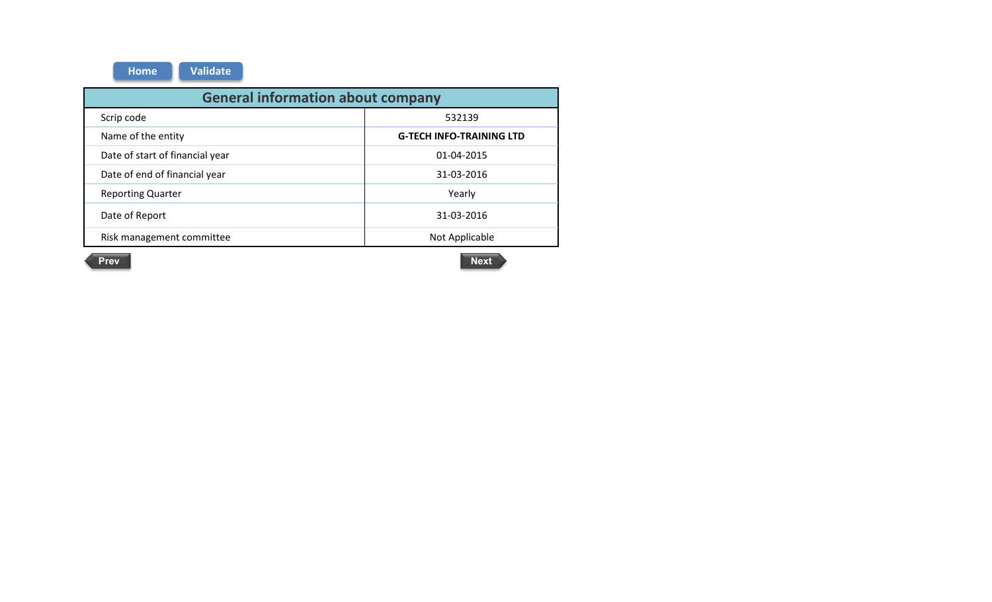

| <b>General information about company</b> |                                 |  |  |  |  |
|------------------------------------------|---------------------------------|--|--|--|--|
| Scrip code                               | 532139                          |  |  |  |  |
| Name of the entity                       | <b>G-TECH INFO-TRAINING LTD</b> |  |  |  |  |
| Date of start of financial year          | 01-04-2015                      |  |  |  |  |
| Date of end of financial year            | 31-03-2016                      |  |  |  |  |
| <b>Reporting Quarter</b>                 | Yearly                          |  |  |  |  |
| Date of Report                           | 31-03-2016                      |  |  |  |  |
| Risk management committee                | Not Applicable                  |  |  |  |  |

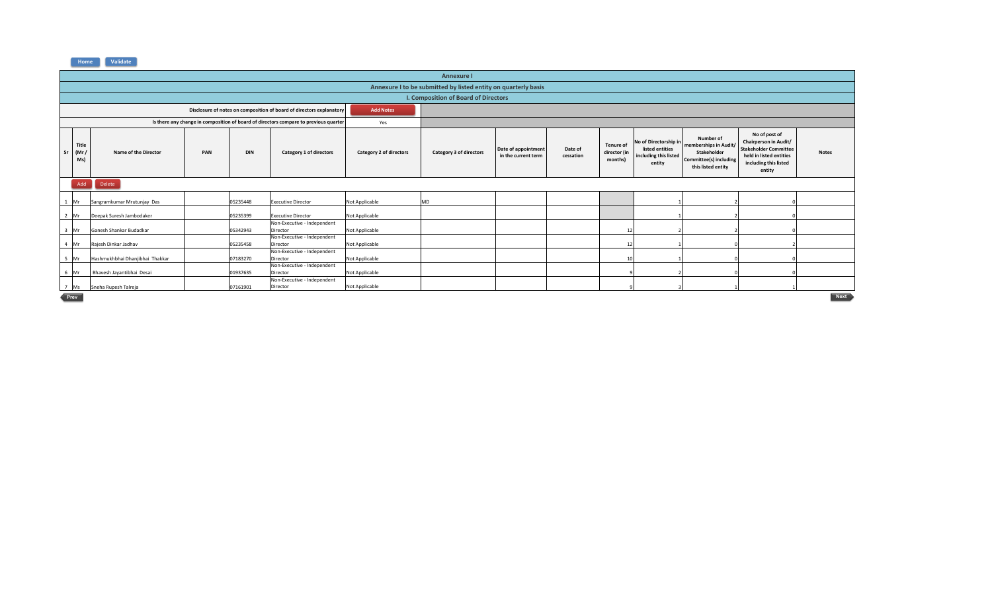|                                                                                      | <b>Annexure I</b>           |                                 |            |            |                                                                      |                                |                                                                |                                            |                      |                                             |                                                                             |                                                                                                          |                                                                                                                                             |              |
|--------------------------------------------------------------------------------------|-----------------------------|---------------------------------|------------|------------|----------------------------------------------------------------------|--------------------------------|----------------------------------------------------------------|--------------------------------------------|----------------------|---------------------------------------------|-----------------------------------------------------------------------------|----------------------------------------------------------------------------------------------------------|---------------------------------------------------------------------------------------------------------------------------------------------|--------------|
|                                                                                      |                             |                                 |            |            |                                                                      |                                | Annexure I to be submitted by listed entity on quarterly basis |                                            |                      |                                             |                                                                             |                                                                                                          |                                                                                                                                             |              |
|                                                                                      |                             |                                 |            |            |                                                                      |                                | <b>I. Composition of Board of Directors</b>                    |                                            |                      |                                             |                                                                             |                                                                                                          |                                                                                                                                             |              |
|                                                                                      |                             |                                 |            |            | Disclosure of notes on composition of board of directors explanatory | <b>Add Notes</b>               |                                                                |                                            |                      |                                             |                                                                             |                                                                                                          |                                                                                                                                             |              |
| Is there any change in composition of board of directors compare to previous quarter |                             |                                 |            | Yes        |                                                                      |                                |                                                                |                                            |                      |                                             |                                                                             |                                                                                                          |                                                                                                                                             |              |
| Sr                                                                                   | <b>Title</b><br>(Mr)<br>Ms) | <b>Name of the Director</b>     | <b>PAN</b> | <b>DIN</b> | <b>Category 1 of directors</b>                                       | <b>Category 2 of directors</b> | <b>Category 3 of directors</b>                                 | Date of appointment<br>in the current term | Date of<br>cessation | <b>Tenure of</b><br>director (in<br>months) | No of Directorship in<br>listed entities<br>including this listed<br>entity | <b>Number of</b><br>memberships in Audit/<br>Stakeholder<br>Committee(s) including<br>this listed entity | No of post of<br><b>Chairperson in Audit/</b><br><b>Stakeholder Committee</b><br>held in listed entities<br>including this listed<br>entity | <b>Notes</b> |
|                                                                                      | Delete<br>Add               |                                 |            |            |                                                                      |                                |                                                                |                                            |                      |                                             |                                                                             |                                                                                                          |                                                                                                                                             |              |
|                                                                                      | $1$ Mr                      | Sangramkumar Mrutunjay Das      |            | 05235448   | <b>Executive Director</b>                                            | Not Applicable                 | <b>MD</b>                                                      |                                            |                      |                                             |                                                                             |                                                                                                          |                                                                                                                                             |              |
|                                                                                      | 2 Mr                        | Deepak Suresh Jambodaker        |            | 05235399   | <b>Executive Director</b>                                            | Not Applicable                 |                                                                |                                            |                      |                                             |                                                                             |                                                                                                          |                                                                                                                                             |              |
|                                                                                      | $3$ Mr                      | Ganesh Shankar Budadkar         |            | 05342943   | Non-Executive - Independent<br>Director                              | Not Applicable                 |                                                                |                                            |                      | 12                                          |                                                                             |                                                                                                          |                                                                                                                                             |              |
|                                                                                      | 4 Mr                        | Rajesh Dinkar Jadhav            |            | 05235458   | Non-Executive - Independent<br>Director                              | Not Applicable                 |                                                                |                                            |                      | 12                                          |                                                                             |                                                                                                          |                                                                                                                                             |              |
|                                                                                      | $5$ Mr                      | Hashmukhbhai Dhanjibhai Thakkar |            | 07183270   | Non-Executive - Independent<br>Director                              | Not Applicable                 |                                                                |                                            |                      |                                             |                                                                             |                                                                                                          |                                                                                                                                             |              |
|                                                                                      | 6 Mr                        | Bhavesh Jayantibhai Desai       |            | 01937635   | Non-Executive - Independent<br>Director                              | Not Applicable                 |                                                                |                                            |                      |                                             |                                                                             |                                                                                                          |                                                                                                                                             |              |
| 7 Ms                                                                                 |                             | Sneha Rupesh Talreja            |            | 07161901   | Non-Executive - Independent<br>Director                              | Not Applicable                 |                                                                |                                            |                      |                                             |                                                                             |                                                                                                          |                                                                                                                                             |              |
| Prev                                                                                 |                             |                                 |            |            |                                                                      |                                |                                                                |                                            |                      |                                             |                                                                             |                                                                                                          |                                                                                                                                             | Next         |

| <b>Home</b> | Validate |
|-------------|----------|
|             |          |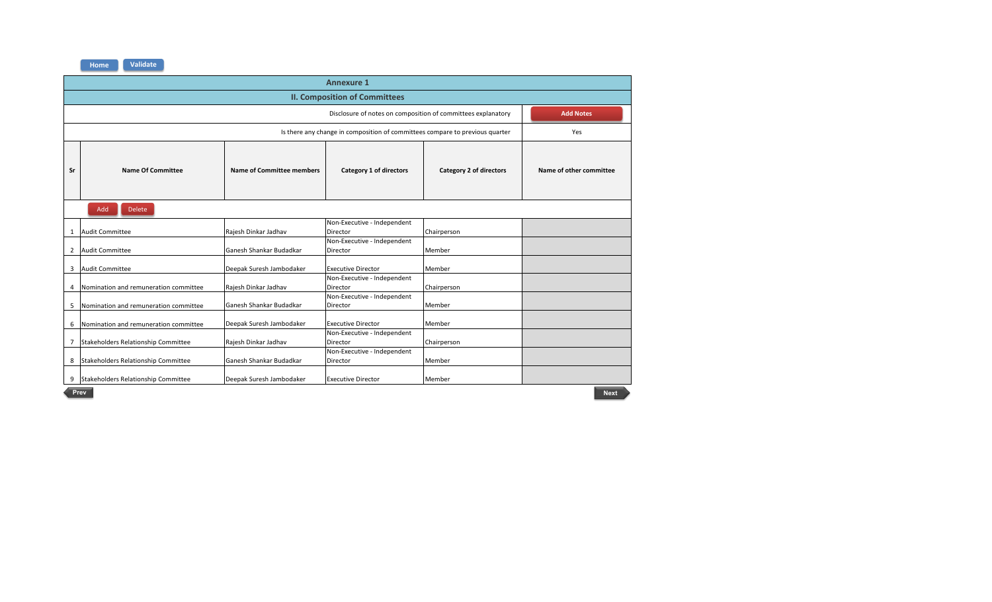|                |                                                                                  |                                  | <b>Annexure 1</b>                                                            |                                |                         |  |  |  |
|----------------|----------------------------------------------------------------------------------|----------------------------------|------------------------------------------------------------------------------|--------------------------------|-------------------------|--|--|--|
|                | <b>II. Composition of Committees</b>                                             |                                  |                                                                              |                                |                         |  |  |  |
|                | Disclosure of notes on composition of committees explanatory<br><b>Add Notes</b> |                                  |                                                                              |                                |                         |  |  |  |
|                |                                                                                  |                                  | Is there any change in composition of committees compare to previous quarter |                                | Yes                     |  |  |  |
| <b>Sr</b>      | <b>Name Of Committee</b>                                                         | <b>Name of Committee members</b> | <b>Category 1 of directors</b>                                               | <b>Category 2 of directors</b> | Name of other committee |  |  |  |
|                | Add<br><b>Delete</b>                                                             |                                  |                                                                              |                                |                         |  |  |  |
| $\mathbf{1}$   | <b>Audit Committee</b>                                                           | Rajesh Dinkar Jadhav             | Non-Executive - Independent<br>Director                                      | Chairperson                    |                         |  |  |  |
| $\overline{2}$ | <b>Audit Committee</b>                                                           | Ganesh Shankar Budadkar          | Non-Executive - Independent<br>Director                                      | Member                         |                         |  |  |  |
| 3              | Audit Committee                                                                  | Deepak Suresh Jambodaker         | <b>Executive Director</b>                                                    | Member                         |                         |  |  |  |
| 4              | Nomination and remuneration committee                                            | Rajesh Dinkar Jadhav             | Non-Executive - Independent<br>Director                                      | Chairperson                    |                         |  |  |  |
| 5              | Nomination and remuneration committee                                            | Ganesh Shankar Budadkar          | Non-Executive - Independent<br>Director                                      | Member                         |                         |  |  |  |
| 6              | Nomination and remuneration committee                                            | Deepak Suresh Jambodaker         | <b>Executive Director</b>                                                    | Member                         |                         |  |  |  |
| 7              | Stakeholders Relationship Committee                                              | Rajesh Dinkar Jadhav             | Non-Executive - Independent<br>Director                                      | Chairperson                    |                         |  |  |  |
| 8              | Stakeholders Relationship Committee                                              | Ganesh Shankar Budadkar          | Non-Executive - Independent<br>Director                                      | Member                         |                         |  |  |  |
| 9              | Stakeholders Relationship Committee                                              | Deepak Suresh Jambodaker         | <b>Executive Director</b>                                                    | Member                         |                         |  |  |  |

| <b>Add Notes</b>  |  |
|-------------------|--|
| Yes               |  |
| f other committee |  |
|                   |  |
|                   |  |
|                   |  |

**Prev Next**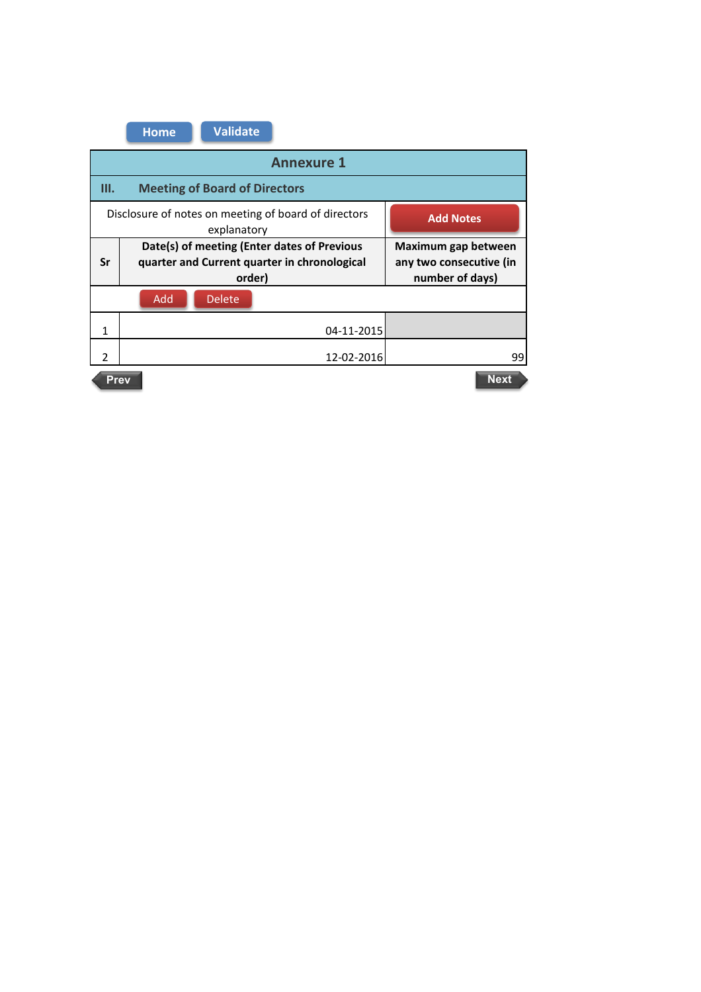|                | <b>Validate</b><br><b>Home</b>                                      |                                            |
|----------------|---------------------------------------------------------------------|--------------------------------------------|
|                | <b>Annexure 1</b>                                                   |                                            |
| III.           | <b>Meeting of Board of Directors</b>                                |                                            |
|                | Disclosure of notes on meeting of board of directors<br>explanatory | <b>Add Notes</b>                           |
| Sr             | Date(s) of meeting (Enter dates of Previous                         | Maximum gap between                        |
|                | quarter and Current quarter in chronological<br>order)              | any two consecutive (in<br>number of days) |
|                | Add<br><b>Delete</b>                                                |                                            |
| 1              | 04-11-2015                                                          |                                            |
| $\mathfrak{p}$ | 12-02-2016                                                          | 99                                         |
|                | <b>Prev</b>                                                         | <b>Next</b>                                |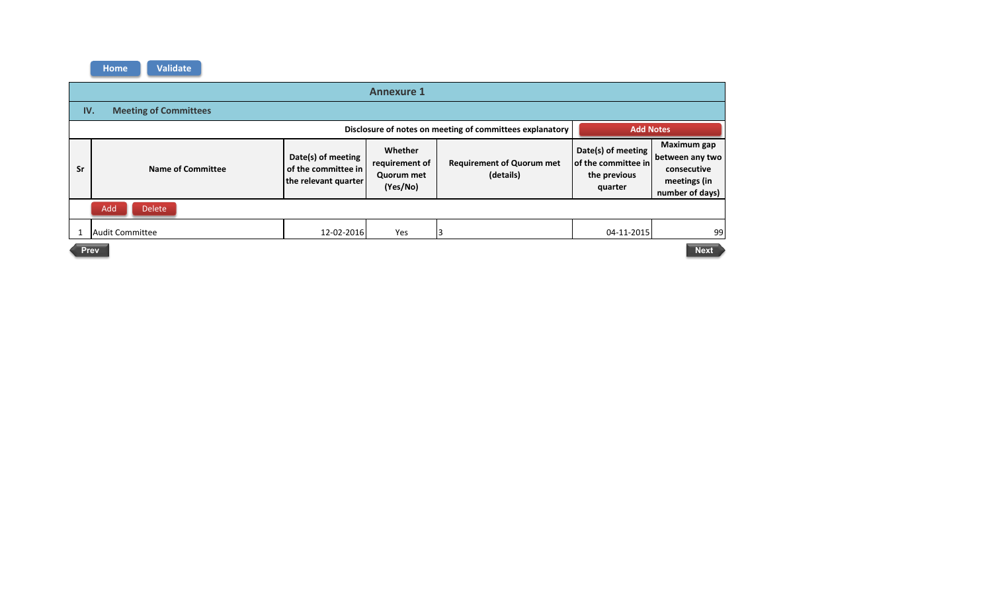|    | <b>Annexure 1</b>                                                            |                                                                   |                                                            |                                               |                                                                      |                                                                                         |  |  |  |  |  |  |  |
|----|------------------------------------------------------------------------------|-------------------------------------------------------------------|------------------------------------------------------------|-----------------------------------------------|----------------------------------------------------------------------|-----------------------------------------------------------------------------------------|--|--|--|--|--|--|--|
|    | IV.<br><b>Meeting of Committees</b>                                          |                                                                   |                                                            |                                               |                                                                      |                                                                                         |  |  |  |  |  |  |  |
|    | Disclosure of notes on meeting of committees explanatory<br><b>Add Notes</b> |                                                                   |                                                            |                                               |                                                                      |                                                                                         |  |  |  |  |  |  |  |
| Sr | <b>Name of Committee</b>                                                     | Date(s) of meeting<br>of the committee in<br>the relevant quarter | Whether<br>requirement of<br><b>Quorum met</b><br>(Yes/No) | <b>Requirement of Quorum met</b><br>(details) | Date(s) of meeting<br>of the committee in<br>the previous<br>quarter | <b>Maximum gap</b><br>between any two<br>consecutive<br>meetings (in<br>number of days) |  |  |  |  |  |  |  |
|    | Add<br><b>Delete</b>                                                         |                                                                   |                                                            |                                               |                                                                      |                                                                                         |  |  |  |  |  |  |  |
|    | <b>Audit Committee</b>                                                       | 12-02-2016                                                        | Yes                                                        |                                               | 04-11-2015                                                           | 99                                                                                      |  |  |  |  |  |  |  |
|    |                                                                              |                                                                   |                                                            |                                               |                                                                      | <b>Next</b><br><b>Prev</b>                                                              |  |  |  |  |  |  |  |

| <b>Home</b> | <b>Validate</b> |
|-------------|-----------------|
|             |                 |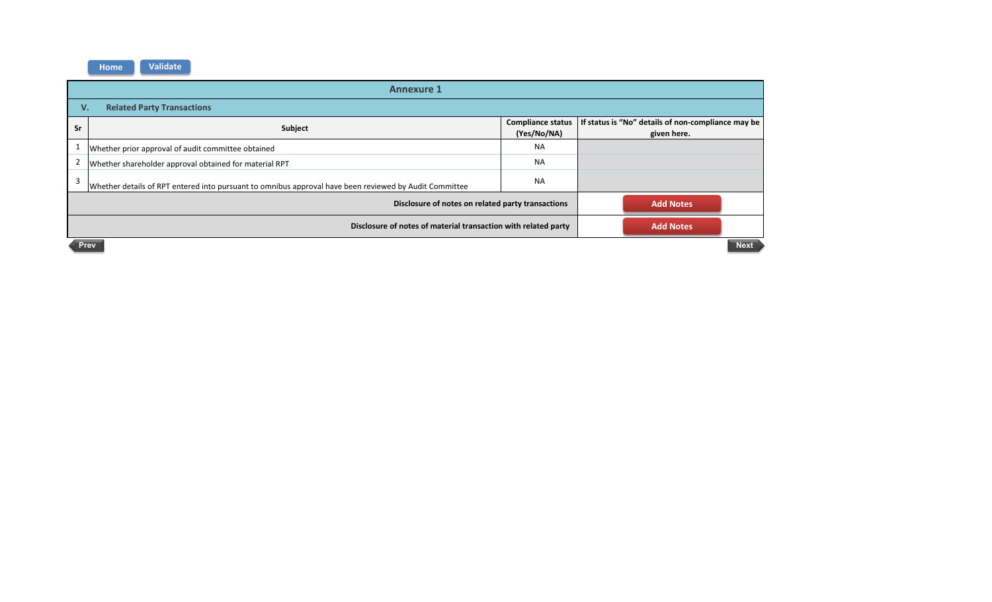| <b>Annexure 1</b> |                                                                                                        |                                         |                                                      |  |  |
|-------------------|--------------------------------------------------------------------------------------------------------|-----------------------------------------|------------------------------------------------------|--|--|
| V.                | <b>Related Party Transactions</b>                                                                      |                                         |                                                      |  |  |
| Sr                | Subject                                                                                                | <b>Compliance status</b><br>(Yes/No/NA) | If status is "No" details of non-comp<br>given here. |  |  |
|                   | Whether prior approval of audit committee obtained                                                     | <b>NA</b>                               |                                                      |  |  |
|                   | Whether shareholder approval obtained for material RPT                                                 | <b>NA</b>                               |                                                      |  |  |
| 3                 | Whether details of RPT entered into pursuant to omnibus approval have been reviewed by Audit Committee | <b>NA</b>                               |                                                      |  |  |
|                   | Disclosure of notes on related party transactions                                                      | <b>Add Notes</b>                        |                                                      |  |  |
|                   | Disclosure of notes of material transaction with related party                                         | <b>Add Notes</b>                        |                                                      |  |  |

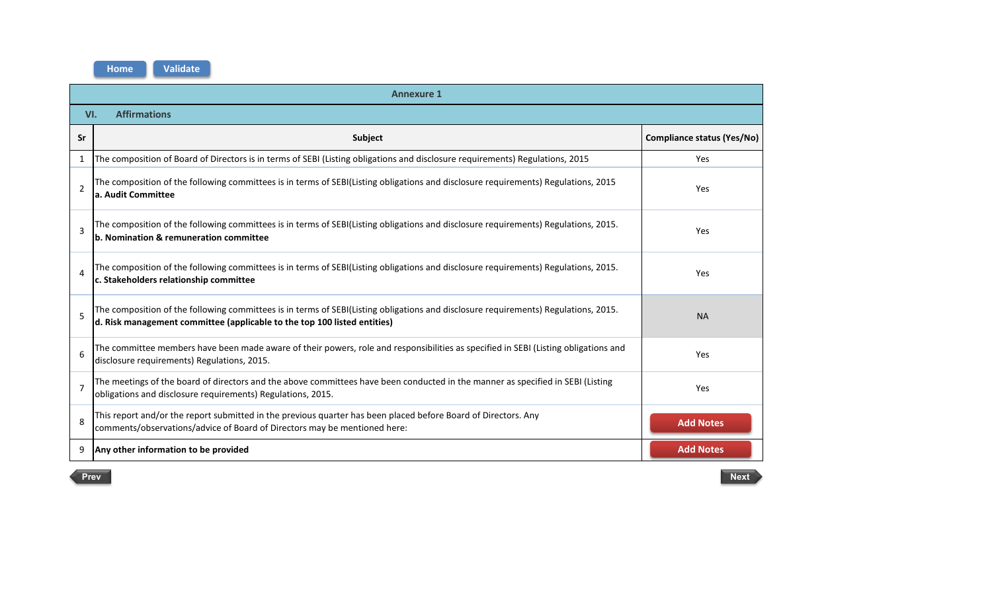|                | <b>Annexure 1</b>                                                                                                                                                                                               |                                   |  |  |  |  |
|----------------|-----------------------------------------------------------------------------------------------------------------------------------------------------------------------------------------------------------------|-----------------------------------|--|--|--|--|
| VI.            | <b>Affirmations</b>                                                                                                                                                                                             |                                   |  |  |  |  |
| Sr             | Subject                                                                                                                                                                                                         | <b>Compliance status (Yes/No)</b> |  |  |  |  |
| 1              | The composition of Board of Directors is in terms of SEBI (Listing obligations and disclosure requirements) Regulations, 2015                                                                                   | Yes                               |  |  |  |  |
| $\overline{2}$ | The composition of the following committees is in terms of SEBI(Listing obligations and disclosure requirements) Regulations, 2015<br>a. Audit Committee                                                        | Yes                               |  |  |  |  |
| 3              | The composition of the following committees is in terms of SEBI(Listing obligations and disclosure requirements) Regulations, 2015.<br>b. Nomination & remuneration committee                                   | Yes                               |  |  |  |  |
| 4              | The composition of the following committees is in terms of SEBI(Listing obligations and disclosure requirements) Regulations, 2015.<br>c. Stakeholders relationship committee                                   | Yes                               |  |  |  |  |
| 5              | The composition of the following committees is in terms of SEBI(Listing obligations and disclosure requirements) Regulations, 2015.<br>d. Risk management committee (applicable to the top 100 listed entities) | <b>NA</b>                         |  |  |  |  |
| 6              | The committee members have been made aware of their powers, role and responsibilities as specified in SEBI (Listing obligations and<br>disclosure requirements) Regulations, 2015.                              | Yes                               |  |  |  |  |
| $\overline{7}$ | The meetings of the board of directors and the above committees have been conducted in the manner as specified in SEBI (Listing<br>obligations and disclosure requirements) Regulations, 2015.                  | Yes                               |  |  |  |  |
| 8              | This report and/or the report submitted in the previous quarter has been placed before Board of Directors. Any<br>comments/observations/advice of Board of Directors may be mentioned here:                     | <b>Add Notes</b>                  |  |  |  |  |
| 9              | Any other information to be provided                                                                                                                                                                            | <b>Add Notes</b>                  |  |  |  |  |

ext **Next and American control** next in the control of the control of the control of the control of the control of the control of the control of the control of the control of the control of the control of the control of t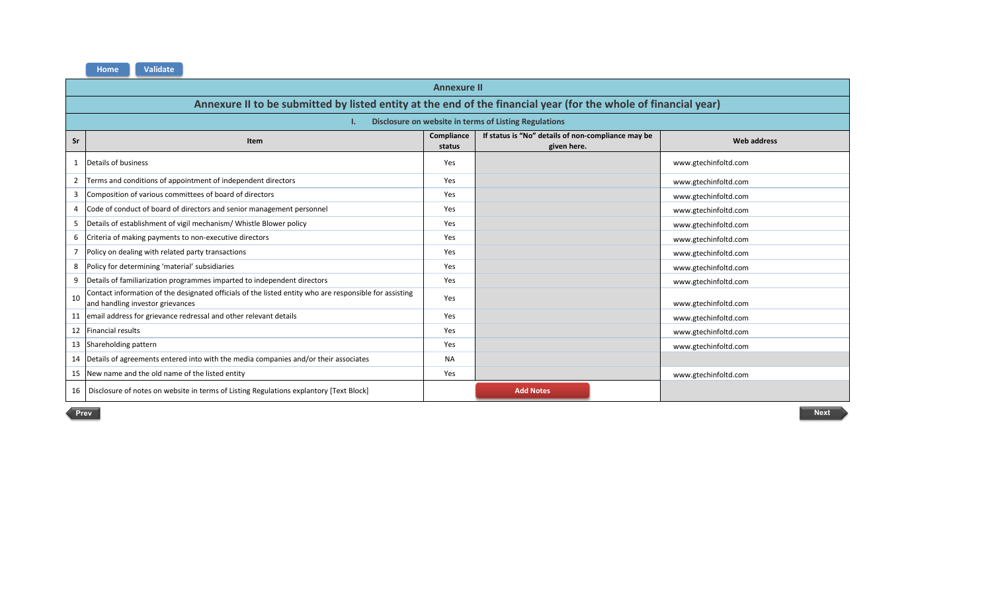Validate Home

|                | <b>Annexure II</b>                                                                                                                         |                      |                                                                   |                      |  |  |  |
|----------------|--------------------------------------------------------------------------------------------------------------------------------------------|----------------------|-------------------------------------------------------------------|----------------------|--|--|--|
|                | Annexure II to be submitted by listed entity at the end of the financial year (for the whole of financial year)                            |                      |                                                                   |                      |  |  |  |
|                |                                                                                                                                            |                      | Disclosure on website in terms of Listing Regulations             |                      |  |  |  |
| Sr             | Item                                                                                                                                       | Compliance<br>status | If status is "No" details of non-compliance may be<br>given here. | <b>Web address</b>   |  |  |  |
| $\mathbf{1}$   | Details of business                                                                                                                        | Yes                  |                                                                   | www.gtechinfoltd.com |  |  |  |
| $\overline{2}$ | Terms and conditions of appointment of independent directors                                                                               | Yes                  |                                                                   | www.gtechinfoltd.com |  |  |  |
| $\overline{3}$ | Composition of various committees of board of directors                                                                                    | Yes                  |                                                                   | www.gtechinfoltd.com |  |  |  |
| 4              | Code of conduct of board of directors and senior management personnel                                                                      | Yes                  |                                                                   | www.gtechinfoltd.com |  |  |  |
| $\overline{5}$ | Details of establishment of vigil mechanism/ Whistle Blower policy                                                                         | Yes                  |                                                                   | www.gtechinfoltd.com |  |  |  |
| 6              | Criteria of making payments to non-executive directors                                                                                     | Yes                  |                                                                   | www.gtechinfoltd.com |  |  |  |
| $\overline{7}$ | Policy on dealing with related party transactions                                                                                          | Yes                  |                                                                   | www.gtechinfoltd.com |  |  |  |
| 8              | Policy for determining 'material' subsidiaries                                                                                             | Yes                  |                                                                   | www.gtechinfoltd.com |  |  |  |
| 9              | Details of familiarization programmes imparted to independent directors                                                                    | Yes                  |                                                                   | www.gtechinfoltd.com |  |  |  |
| 10             | Contact information of the designated officials of the listed entity who are responsible for assisting<br>and handling investor grievances | Yes                  |                                                                   | www.gtechinfoltd.com |  |  |  |
|                | 11 email address for grievance redressal and other relevant details                                                                        | Yes                  |                                                                   | www.gtechinfoltd.com |  |  |  |
|                | 12 Financial results                                                                                                                       | Yes                  |                                                                   | www.gtechinfoltd.com |  |  |  |
|                | 13 Shareholding pattern                                                                                                                    | Yes                  |                                                                   | www.gtechinfoltd.com |  |  |  |
|                | 14  Details of agreements entered into with the media companies and/or their associates                                                    | <b>NA</b>            |                                                                   |                      |  |  |  |
|                | 15 New name and the old name of the listed entity                                                                                          | Yes                  |                                                                   | www.gtechinfoltd.com |  |  |  |
|                | 16   Disclosure of notes on website in terms of Listing Regulations explantory [Text Block]                                                |                      | <b>Add Notes</b>                                                  |                      |  |  |  |
|                |                                                                                                                                            |                      |                                                                   |                      |  |  |  |

Prev

Next >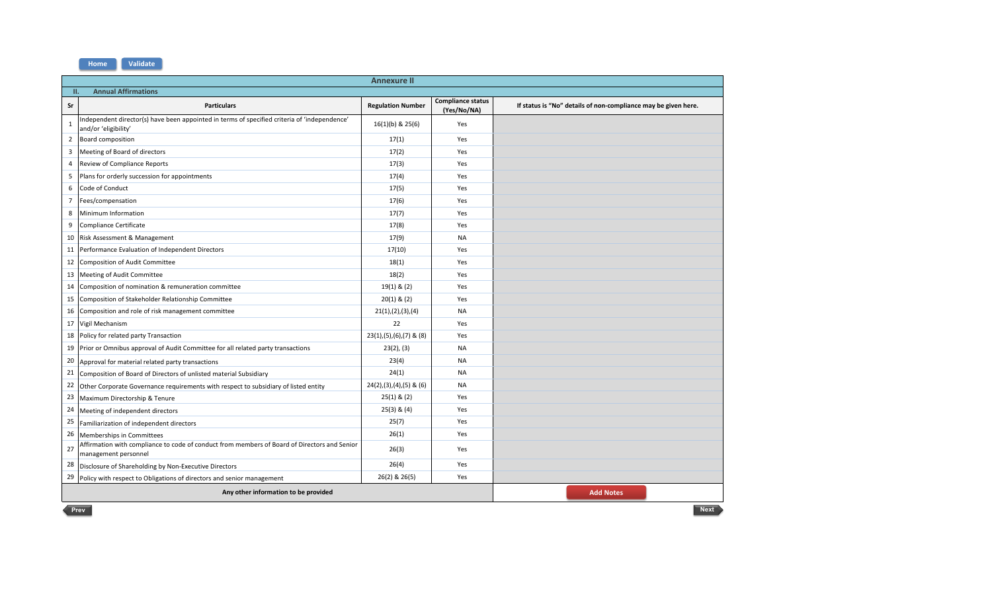| <b>Annexure II</b> |                                                                                                                      |                              |                                         |                       |  |  |  |
|--------------------|----------------------------------------------------------------------------------------------------------------------|------------------------------|-----------------------------------------|-----------------------|--|--|--|
| ΙΙ.                | <b>Annual Affirmations</b>                                                                                           |                              |                                         |                       |  |  |  |
| Sr                 | <b>Particulars</b>                                                                                                   | <b>Regulation Number</b>     | <b>Compliance status</b><br>(Yes/No/NA) | If status is "No" det |  |  |  |
| $\mathbf{1}$       | Independent director(s) have been appointed in terms of specified criteria of 'independence'<br>and/or 'eligibility' | $16(1)(b)$ & 25(6)           | Yes                                     |                       |  |  |  |
| 2                  | <b>Board composition</b>                                                                                             | 17(1)                        | Yes                                     |                       |  |  |  |
| 3                  | Meeting of Board of directors                                                                                        | 17(2)                        | Yes                                     |                       |  |  |  |
| 4                  | <b>Review of Compliance Reports</b>                                                                                  | 17(3)                        | Yes                                     |                       |  |  |  |
| 5                  | Plans for orderly succession for appointments                                                                        | 17(4)                        | Yes                                     |                       |  |  |  |
| 6                  | Code of Conduct                                                                                                      | 17(5)                        | Yes                                     |                       |  |  |  |
| 7                  | Fees/compensation                                                                                                    | 17(6)                        | Yes                                     |                       |  |  |  |
| 8                  | Minimum Information                                                                                                  | 17(7)                        | Yes                                     |                       |  |  |  |
| 9                  | Compliance Certificate                                                                                               | 17(8)                        | Yes                                     |                       |  |  |  |
| 10                 | <b>Risk Assessment &amp; Management</b>                                                                              | 17(9)                        | <b>NA</b>                               |                       |  |  |  |
| 11                 | Performance Evaluation of Independent Directors                                                                      | 17(10)                       | Yes                                     |                       |  |  |  |
| 12                 | <b>Composition of Audit Committee</b>                                                                                | 18(1)                        | Yes                                     |                       |  |  |  |
| 13                 | Meeting of Audit Committee                                                                                           | 18(2)                        | Yes                                     |                       |  |  |  |
| 14                 | Composition of nomination & remuneration committee                                                                   | $19(1)$ & $(2)$              | Yes                                     |                       |  |  |  |
| 15                 | Composition of Stakeholder Relationship Committee                                                                    | $20(1)$ & $(2)$              | Yes                                     |                       |  |  |  |
| 16                 | Composition and role of risk management committee                                                                    | 21(1), (2), (3), (4)         | <b>NA</b>                               |                       |  |  |  |
| 17                 | Vigil Mechanism                                                                                                      | 22                           | Yes                                     |                       |  |  |  |
| 18                 | Policy for related party Transaction                                                                                 | $23(1), (5), (6), (7)$ & (8) | Yes                                     |                       |  |  |  |
| 19                 | Prior or Omnibus approval of Audit Committee for all related party transactions                                      | 23(2), (3)                   | <b>NA</b>                               |                       |  |  |  |
| 20                 | Approval for material related party transactions                                                                     | 23(4)                        | <b>NA</b>                               |                       |  |  |  |
| 21                 | Composition of Board of Directors of unlisted material Subsidiary                                                    | 24(1)                        | <b>NA</b>                               |                       |  |  |  |
| 22                 | Other Corporate Governance requirements with respect to subsidiary of listed entity                                  | $24(2), (3), (4), (5)$ & (6) | <b>NA</b>                               |                       |  |  |  |
| 23                 | Maximum Directorship & Tenure                                                                                        | $25(1)$ & $(2)$              | Yes                                     |                       |  |  |  |
| 24                 | Meeting of independent directors                                                                                     | $25(3)$ & $(4)$              | Yes                                     |                       |  |  |  |
| 25                 | Familiarization of independent directors                                                                             | 25(7)                        | Yes                                     |                       |  |  |  |
| 26                 | Memberships in Committees                                                                                            | 26(1)                        | Yes                                     |                       |  |  |  |
| 27                 | Affirmation with compliance to code of conduct from members of Board of Directors and Senior<br>management personnel | 26(3)                        | Yes                                     |                       |  |  |  |
| 28                 | Disclosure of Shareholding by Non-Executive Directors                                                                | 26(4)                        | Yes                                     |                       |  |  |  |
| 29                 | Policy with respect to Obligations of directors and senior management                                                | 26(2) & 26(5)                | Yes                                     |                       |  |  |  |
|                    | Any other information to be provided                                                                                 |                              |                                         |                       |  |  |  |

Prev

| tails of non-compliance may be given here. |  |  |  |  |
|--------------------------------------------|--|--|--|--|
|                                            |  |  |  |  |
|                                            |  |  |  |  |
|                                            |  |  |  |  |
|                                            |  |  |  |  |
|                                            |  |  |  |  |
|                                            |  |  |  |  |
|                                            |  |  |  |  |
|                                            |  |  |  |  |
|                                            |  |  |  |  |
|                                            |  |  |  |  |
|                                            |  |  |  |  |
|                                            |  |  |  |  |
|                                            |  |  |  |  |
|                                            |  |  |  |  |
|                                            |  |  |  |  |
|                                            |  |  |  |  |
|                                            |  |  |  |  |
|                                            |  |  |  |  |
|                                            |  |  |  |  |
|                                            |  |  |  |  |
|                                            |  |  |  |  |
|                                            |  |  |  |  |
|                                            |  |  |  |  |
|                                            |  |  |  |  |
|                                            |  |  |  |  |
|                                            |  |  |  |  |
|                                            |  |  |  |  |
|                                            |  |  |  |  |
|                                            |  |  |  |  |
|                                            |  |  |  |  |
|                                            |  |  |  |  |
|                                            |  |  |  |  |
|                                            |  |  |  |  |
|                                            |  |  |  |  |
|                                            |  |  |  |  |
|                                            |  |  |  |  |
|                                            |  |  |  |  |
|                                            |  |  |  |  |
|                                            |  |  |  |  |
| <b>Add Notes</b>                           |  |  |  |  |
| <b>Next</b>                                |  |  |  |  |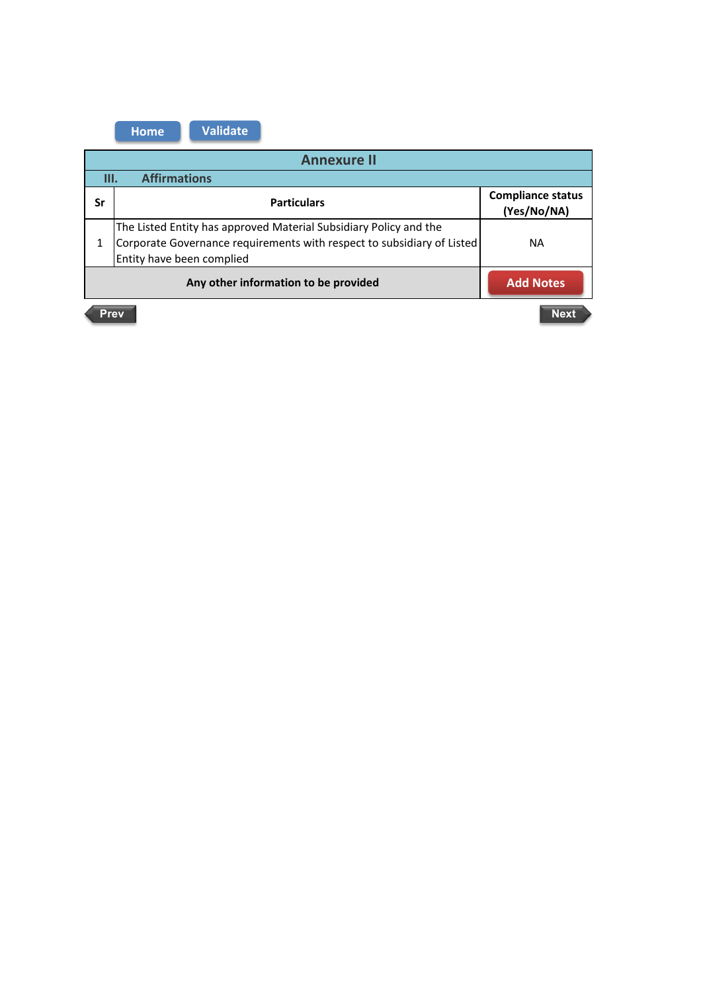| <b>Annexure II</b><br><b>Affirmations</b><br>III. |                                                                                                                                                                          |                  |  |  |  |
|---------------------------------------------------|--------------------------------------------------------------------------------------------------------------------------------------------------------------------------|------------------|--|--|--|
|                                                   |                                                                                                                                                                          |                  |  |  |  |
| 1                                                 | The Listed Entity has approved Material Subsidiary Policy and the<br>Corporate Governance requirements with respect to subsidiary of Listed<br>Entity have been complied | <b>NA</b>        |  |  |  |
|                                                   | Any other information to be provided                                                                                                                                     | <b>Add Notes</b> |  |  |  |